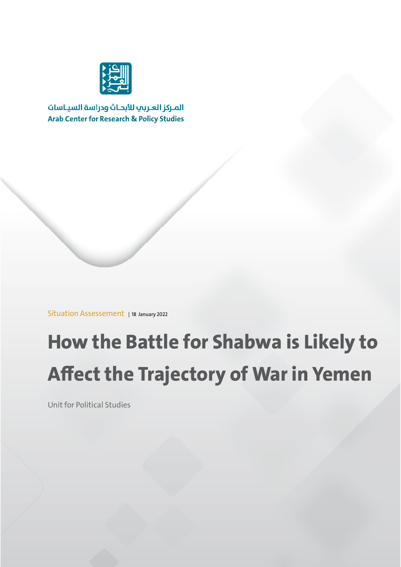

المركز العربي للأبحاث ودراسة السياسات **Arab Center for Research & Policy Studies** 

Situation Assessement | 18 January 2022

# **How the Battle for Shabwa is Likely to Affect the Trajectory of War in Yemen**

Unit for Political Studies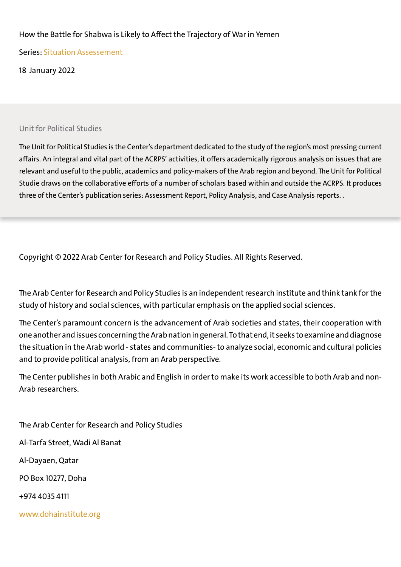#### How the Battle for Shabwa is Likely to Affect the Trajectory of War in Yemen

Series: Situation Assessement

18 January 2022

Unit for Political Studies

The Unit for Political Studies is the Center's department dedicated to the study of the region's most pressing current affairs. An integral and vital part of the ACRPS' activities, it offers academically rigorous analysis on issues that are relevant and useful to the public, academics and policy-makers of the Arab region and beyond. The Unit for Political Studie draws on the collaborative efforts of a number of scholars based within and outside the ACRPS. It produces three of the Center's publication series: Assessment Report, Policy Analysis, and Case Analysis reports. .

Copyright © 2022 Arab Center for Research and Policy Studies. All Rights Reserved.

The Arab Center for Research and Policy Studies is an independent research institute and think tank for the study of history and social sciences, with particular emphasis on the applied social sciences.

The Center's paramount concern is the advancement of Arab societies and states, their cooperation with one another and issues concerning the Arab nation in general. To that end, it seeks to examine and diagnose the situation in the Arab world - states and communities- to analyze social, economic and cultural policies and to provide political analysis, from an Arab perspective.

The Center publishes in both Arabic and English in order to make its work accessible to both Arab and non-Arab researchers.

The Arab Center for Research and Policy Studies Al-Tarfa Street, Wadi Al Banat Al-Dayaen, Qatar PO Box 10277, Doha +974 4035 4111 www.dohainstitute.org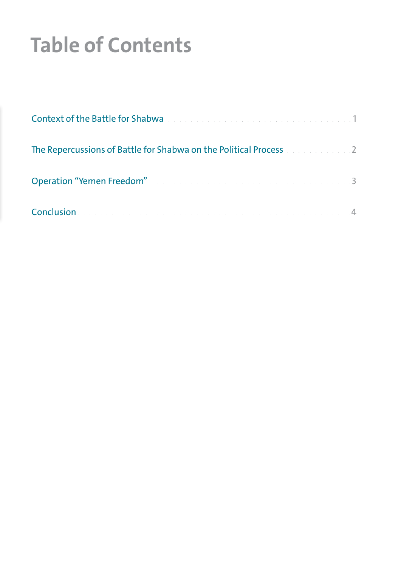# **Table of Contents**

| Context of the Battle for Shabwa and a context of the Battle for Shabwa and a context of the Battle for Shabwa |  |
|----------------------------------------------------------------------------------------------------------------|--|
| The Repercussions of Battle for Shabwa on the Political Process and an analyze 2                               |  |
| Operation "Yemen Freedom" and a construction of the construction of the 1990-1991                              |  |
|                                                                                                                |  |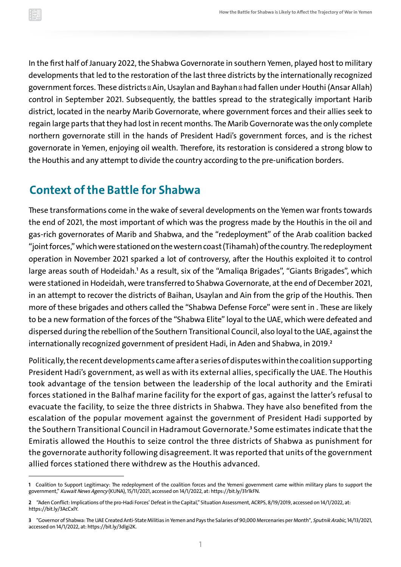<span id="page-3-0"></span>In the first half of January 2022, the Shabwa Governorate in southern Yemen, played host to military developments that led to the restoration of the last three districts by the internationally recognized government forces. These districts & Ain, Usaylan and Bayhan & had fallen under Houthi (Ansar Allah) control in September 2021. Subsequently, the battles spread to the strategically important Harib district, located in the nearby Marib Governorate, where government forces and their allies seek to regain large parts that they had lost in recent months. The Marib Governorate was the only complete northern governorate still in the hands of President Hadi's government forces, and is the richest governorate in Yemen, enjoying oil wealth. Therefore, its restoration is considered a strong blow to the Houthis and any attempt to divide the country according to the pre-unification borders.

### **Context of the Battle for Shabwa**

These transformations come in the wake of several developments on the Yemen war fronts towards the end of 2021, the most important of which was the progress made by the Houthis in the oil and gas-rich governorates of Marib and Shabwa, and the "redeployment" of the Arab coalition backed "joint forces," which were stationed on the westerncoast (Tihamah) of the country. The redeployment operation in November 2021 sparked a lot of controversy, after the Houthis exploited it to control large areas south of Hodeidah.<sup>1</sup> As a result, six of the "Amaliqa Brigades", "Giants Brigades", which were stationed in Hodeidah, were transferred to Shabwa Governorate, at the end of December 2021, in an attempt to recover the districts of Baihan, Usaylan and Ain from the grip of the Houthis. Then more of these brigades and others called the "Shabwa Defense Force" were sent in . These are likely to be a new formation of the forces of the "Shabwa Elite" loyal to the UAE, which were defeated and dispersed during the rebellion of the Southern Transitional Council, also loyal to the UAE, against the internationally recognized government of president Hadi, in Aden and Shabwa, in 2019.**<sup>2</sup>**

Politically, the recent developments came after a series of disputes within the coalition supporting President Hadi's government, as well as with its external allies, specifically the UAE. The Houthis took advantage of the tension between the leadership of the local authority and the Emirati forces stationed in the Balhaf marine facility for the export of gas, against the latter's refusal to evacuate the facility, to seize the three districts in Shabwa. They have also benefited from the escalation of the popular movement against the government of President Hadi supported by the Southern Transitional Council in Hadramout Governorate.<sup>3</sup> Some estimates indicate that the Emiratis allowed the Houthis to seize control the three districts of Shabwa as punishment for the governorate authority following disagreement. It was reported that units of the government allied forces stationed there withdrew as the Houthis advanced.

**<sup>1</sup>** Coalition to Support Legitimacy: The redeployment of the coalition forces and the Yemeni government came within military plans to support the government," Kuwait News Agency (KUNA), 15/11/2021, accessed on 14/1/2022, at:<https://bit.ly/31r1kFN>.

**<sup>2</sup>** "Aden Conflict: Implications of the pro-Hadi Forces' Defeat in the Capital," Situation Assessment, ACRPS, 8/19/2019, accessed on 14/1/2022, at: [https://bit.ly/3AcCxlY.](https://bit.ly/3AcCxlY)

**<sup>3</sup>** "Governor of Shabwa: The UAE Created Anti-State Militias inYemen and Pays the Salaries of 90,000 Mercenaries per Month", Sputnik Arabic, 14/13/2021, accessed on 14/1/2022, at:<https://bit.ly/3dlgi2K>.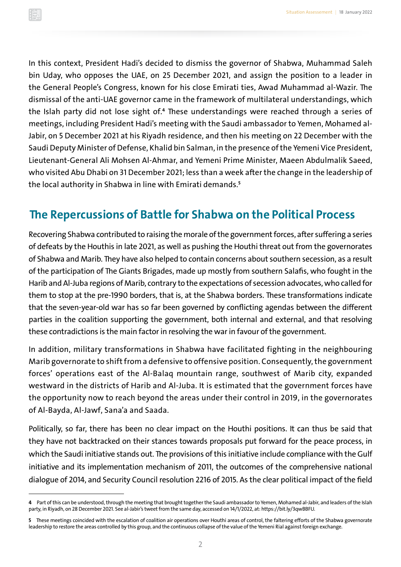<span id="page-4-0"></span>In this context, President Hadi's decided to dismiss the governor of Shabwa, Muhammad Saleh bin Uday, who opposes the UAE, on 25 December 2021, and assign the position to a leader in the General People's Congress, known for his close Emirati ties, Awad Muhammad al-Wazir. The dismissal of the anti-UAE governor came in the framework of multilateral understandings, which the Islah party did not lose sight of.<del>ª</del> These understandings were reached through a series of meetings, including President Hadi's meeting with the Saudi ambassador to Yemen, Mohamed al-Jabir, on 5 December 2021 at his Riyadh residence, and then his meeting on 22 December with the Saudi Deputy Minister of Defense, Khalid bin Salman, in the presence of the Yemeni Vice President, Lieutenant-General Ali Mohsen Al-Ahmar, and Yemeni Prime Minister, Maeen Abdulmalik Saeed, who visited Abu Dhabi on 31 December 2021; less than a week after the change in the leadership of the local authority in Shabwa in line with Emirati demands.**<sup>5</sup>**

#### **The Repercussions of Battle for Shabwa on the Political Process**

Recovering Shabwa contributed to raising the morale of the government forces, after suffering a series of defeats by the Houthis in late 2021, as well as pushing the Houthi threat out from the governorates of Shabwa and Marib. They have also helped to contain concerns about southern secession, as a result of the participation of The Giants Brigades, made up mostly from southern Salafis, who fought in the Harib and Al-Juba regions of Marib, contrary to the expectations of secession advocates, who called for them to stop at the pre-1990 borders, that is, at the Shabwa borders. These transformations indicate that the seven-year-old war has so far been governed by conflicting agendas between the different parties in the coalition supporting the government, both internal and external, and that resolving these contradictions is the main factor in resolving the war in favour of the government.

In addition, military transformations in Shabwa have facilitated fighting in the neighbouring Marib governorate to shift from a defensive to offensive position. Consequently, the government forces' operations east of the Al-Balaq mountain range, southwest of Marib city, expanded westward in the districts of Harib and Al-Juba. It is estimated that the government forces have the opportunity now to reach beyond the areas under their control in 2019, in the governorates of Al-Bayda, Al-Jawf, Sana'a and Saada.

Politically, so far, there has been no clear impact on the Houthi positions. It can thus be said that they have not backtracked on their stances towards proposals put forward for the peace process, in which the Saudi initiative stands out. The provisions of this initiative include compliance with the Gulf initiative and its implementation mechanism of 2011, the outcomes of the comprehensive national dialogue of 2014, and Security Council resolution 2216 of 2015. As the clear political impact of the field

**<sup>4</sup>** Part of this can be understood, through the meeting that brought together the Saudi ambassador to Yemen, Mohamed al-Jabir, and leaders of the Islah party, in Riyadh, on 28 December 2021. See al-Jabir's tweet from the same day, accessed on 14/1/2022, at:<https://bit.ly/3qwBBFU>.

**<sup>5</sup>** These meetings coincided with the escalation of coalition air operations over Houthi areas of control, the faltering efforts of the Shabwa governorate leadership to restore the areas controlled by this group, and the continuous collapse of the value of the Yemeni Rial against foreign exchange.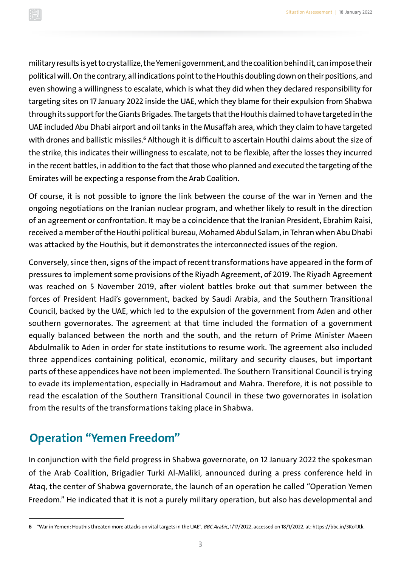<span id="page-5-0"></span>military results is yet to crystallize, the Yemeni government, and the coalition behind it, can impose their political will. On the contrary, all indications point to the Houthis doubling down on their positions, and even showing a willingness to escalate, which is what they did when they declared responsibility for targeting sites on 17 January 2022 inside the UAE, which they blame for their expulsion from Shabwa through its support for the Giants Brigades. The targets that the Houthis claimed to have targeted in the UAE included Abu Dhabi airport and oil tanks in the Musaffah area, which they claim to have targeted with drones and ballistic missiles.<sup>6</sup> Although it is difficult to ascertain Houthi claims about the size of the strike, this indicates their willingness to escalate, not to be flexible, after the losses they incurred in the recent battles, in addition to the fact that those who planned and executed the targeting of the Emirates will be expecting a response from the Arab Coalition.

Of course, it is not possible to ignore the link between the course of the war in Yemen and the ongoing negotiations on the Iranian nuclear program, and whether likely to result in the direction of an agreement or confrontation. It may be a coincidence that the Iranian President, Ebrahim Raisi, received a member of the Houthi political bureau, Mohamed Abdul Salam, inTehran when Abu Dhabi was attacked by the Houthis, but it demonstrates the interconnected issues of the region.

Conversely, since then, signs of the impact of recent transformations have appeared in the form of pressures to implement some provisions of the Riyadh Agreement, of 2019. The Riyadh Agreement was reached on 5 November 2019, after violent battles broke out that summer between the forces of President Hadi's government, backed by Saudi Arabia, and the Southern Transitional Council, backed by the UAE, which led to the expulsion of the government from Aden and other southern governorates. The agreement at that time included the formation of a government equally balanced between the north and the south, and the return of Prime Minister Maeen Abdulmalik to Aden in order for state institutions to resume work. The agreement also included three appendices containing political, economic, military and security clauses, but important parts of these appendices have not been implemented. The Southern Transitional Council is trying to evade its implementation, especially in Hadramout and Mahra. Therefore, it is not possible to read the escalation of the Southern Transitional Council in these two governorates in isolation from the results of the transformations taking place in Shabwa.

### **Operation "Yemen Freedom"**

In conjunction with the field progress in Shabwa governorate, on 12 January 2022 the spokesman of the Arab Coalition, Brigadier Turki Al-Maliki, announced during a press conference held in Ataq, the center of Shabwa governorate, the launch of an operation he called "Operation Yemen Freedom." He indicated that it is not a purely military operation, but also has developmental and

**<sup>6</sup>** "War inYemen: Houthis threaten more attacks on vital targets in the UAE", BBC Arabic, 1/17/2022, accessed on 18/1/2022, at: [https://bbc.in/3KoTJtk.](https://bbc.in/3KoTJtk)